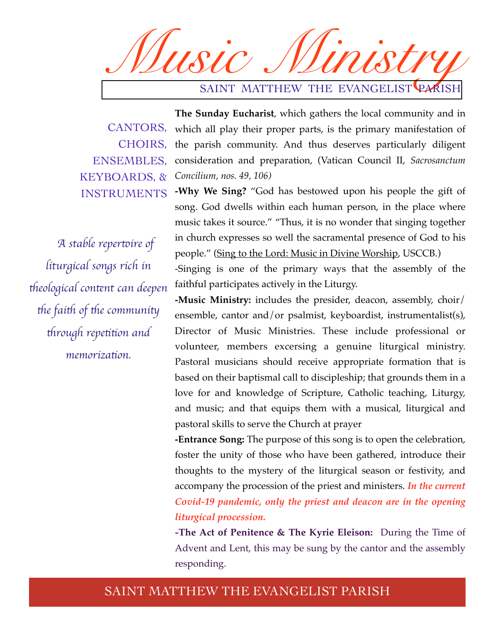*Music Ministry* SAINT MATTHEW THE EVANGELIST PARISH

KEYBOARDS, & INSTRUMENTS

*A stable reper*t*ire of liturgical songs rich in*  t*eological con*t*nt can deepen*  the faith of the community t*rough repe*tt*on and memoriza*t*on.*

**The Sunday Eucharist**, which gathers the local community and in CANTORS, which all play their proper parts, is the primary manifestation of CHOIRS, the parish community. And thus deserves particularly diligent ENSEMBLES, consideration and preparation, (Vatican Council II, Sacrosanctum *Concilium, nos. 49, 106)*

> **-Why We Sing?** "God has bestowed upon his people the gift of song. God dwells within each human person, in the place where music takes it source." "Thus, it is no wonder that singing together in church expresses so well the sacramental presence of God to his people." (Sing to the Lord: Music in Divine Worship, USCCB.)

> -Singing is one of the primary ways that the assembly of the faithful participates actively in the Liturgy.

> **-Music Ministry:** includes the presider, deacon, assembly, choir/ ensemble, cantor and/or psalmist, keyboardist, instrumentalist(s), Director of Music Ministries. These include professional or volunteer, members excersing a genuine liturgical ministry. Pastoral musicians should receive appropriate formation that is based on their baptismal call to discipleship; that grounds them in a love for and knowledge of Scripture, Catholic teaching, Liturgy, and music; and that equips them with a musical, liturgical and pastoral skills to serve the Church at prayer

> **-Entrance Song:** The purpose of this song is to open the celebration, foster the unity of those who have been gathered, introduce their thoughts to the mystery of the liturgical season or festivity, and accompany the procession of the priest and ministers. *In the current Covid-19 pandemic, only the priest and deacon are in the opening liturgical procession.*

> *-***The Act of Penitence & The Kyrie Eleison:** During the Time of Advent and Lent, this may be sung by the cantor and the assembly responding.

#### SAINT MATTHEW THE EVANGELIST PARISH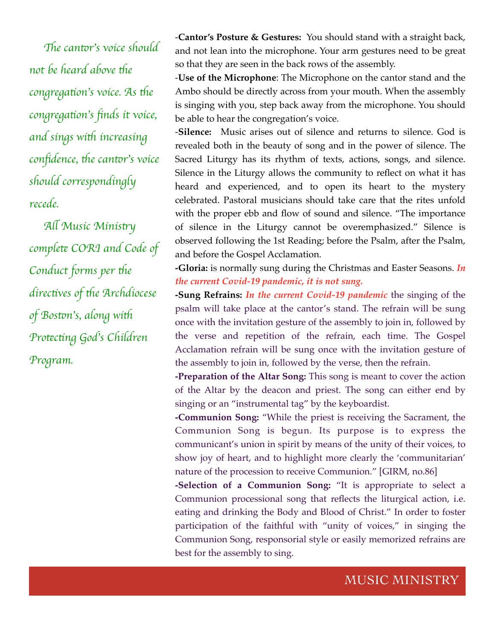The cantor's voice should *not be heard above the congregation's voice. As the congrega*t*on*'*s* fi*nds it voice, and sings with increasing confidence, the cantor's voice should correspondingly recede.* 

*A*l *Music Minis*t*y complete CORI and Code of Conduct forms per the direc*t*ves of* t*e Archdiocese of Bos*t*n*'*s, along wi*t *Pro*t*c*t*ng God*'*s Children Program.*

-**Cantor's Posture & Gestures:** You should stand with a straight back, and not lean into the microphone. Your arm gestures need to be great so that they are seen in the back rows of the assembly.

-**Use of the Microphone**: The Microphone on the cantor stand and the Ambo should be directly across from your mouth. When the assembly is singing with you, step back away from the microphone. You should be able to hear the congregation's voice.

-**Silence:** Music arises out of silence and returns to silence. God is revealed both in the beauty of song and in the power of silence. The Sacred Liturgy has its rhythm of texts, actions, songs, and silence. Silence in the Liturgy allows the community to reflect on what it has heard and experienced, and to open its heart to the mystery celebrated. Pastoral musicians should take care that the rites unfold with the proper ebb and flow of sound and silence. "The importance of silence in the Liturgy cannot be overemphasized." Silence is observed following the 1st Reading; before the Psalm, after the Psalm, and before the Gospel Acclamation.

**-Gloria:** is normally sung during the Christmas and Easter Seasons. *In the current Covid-19 pandemic, it is not sung.*

**-Sung Refrains:** *In the current Covid-19 pandemic* the singing of the psalm will take place at the cantor's stand. The refrain will be sung once with the invitation gesture of the assembly to join in, followed by the verse and repetition of the refrain, each time. The Gospel Acclamation refrain will be sung once with the invitation gesture of the assembly to join in, followed by the verse, then the refrain.

**-Preparation of the Altar Song:** This song is meant to cover the action of the Altar by the deacon and priest. The song can either end by singing or an "instrumental tag" by the keyboardist.

**-Communion Song:** "While the priest is receiving the Sacrament, the Communion Song is begun. Its purpose is to express the communicant's union in spirit by means of the unity of their voices, to show joy of heart, and to highlight more clearly the 'communitarian' nature of the procession to receive Communion." [GIRM, no.86]

**-Selection of a Communion Song:** "It is appropriate to select a Communion processional song that reflects the liturgical action, i.e. eating and drinking the Body and Blood of Christ." In order to foster participation of the faithful with "unity of voices," in singing the Communion Song, responsorial style or easily memorized refrains are best for the assembly to sing.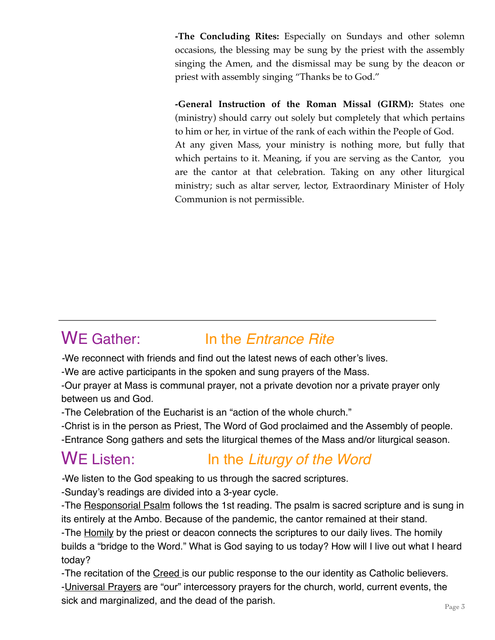**-The Concluding Rites:** Especially on Sundays and other solemn occasions, the blessing may be sung by the priest with the assembly singing the Amen, and the dismissal may be sung by the deacon or priest with assembly singing "Thanks be to God."

**-General Instruction of the Roman Missal (GIRM):** States one (ministry) should carry out solely but completely that which pertains to him or her, in virtue of the rank of each within the People of God. At any given Mass, your ministry is nothing more, but fully that which pertains to it. Meaning, if you are serving as the Cantor, you are the cantor at that celebration. Taking on any other liturgical ministry; such as altar server, lector, Extraordinary Minister of Holy Communion is not permissible.

### WE Gather: In the *Entrance Rite*

*-*We reconnect with friends and find out the latest news of each other's lives.

-We are active participants in the spoken and sung prayers of the Mass.

-Our prayer at Mass is communal prayer, not a private devotion nor a private prayer only between us and God.

-The Celebration of the Eucharist is an "action of the whole church."

-Christ is in the person as Priest, The Word of God proclaimed and the Assembly of people. -Entrance Song gathers and sets the liturgical themes of the Mass and/or liturgical season.

## WE Listen: In the *Liturgy of the Word*

*-*We listen to the God speaking to us through the sacred scriptures.

-Sunday's readings are divided into a 3-year cycle.

-The Responsorial Psalm follows the 1st reading. The psalm is sacred scripture and is sung in its entirely at the Ambo. Because of the pandemic, the cantor remained at their stand.

-The Homily by the priest or deacon connects the scriptures to our daily lives. The homily builds a "bridge to the Word." What is God saying to us today? How will I live out what I heard today?

-The recitation of the Creed is our public response to the our identity as Catholic believers. -Universal Prayers are "our" intercessory prayers for the church, world, current events, the sick and marginalized, and the dead of the parish.